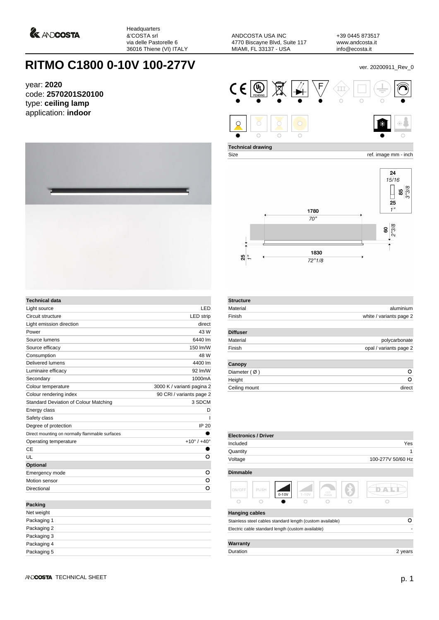

Headquarters &'COSTA srl via delle Pastorelle 6 36016 Thiene (VI) ITALY

ANDCOSTA USA INC 4770 Biscayne Blvd, Suite 117 MIAMI, FL 33137 - USA

+39 0445 873517 www.andcosta.it info@ecosta.it

## **RITMO C1800 0-10V 100-277V** ver. 20200911\_Rev\_0

year: **2020** code: **2570201S20100** type: **ceiling lamp** application: **indoor**



| <b>Technical data</b>                          |                               |
|------------------------------------------------|-------------------------------|
| Light source                                   | LED                           |
| Circuit structure                              | <b>LED</b> strip              |
| Light emission direction                       | direct                        |
| Power                                          | 43 W                          |
| Source lumens                                  | 6440 lm                       |
| Source efficacy                                | 150 lm/W                      |
| Consumption                                    | 48 W                          |
| Delivered lumens                               | 4400 lm                       |
| Luminaire efficacy                             | 92 lm/W                       |
| Secondary                                      | 1000mA                        |
| Colour temperature                             | 3000 K / varianti pagina 2    |
| Colour rendering index                         | 90 CRI / variants page 2      |
| Standard Deviation of Colour Matching          | 3 SDCM                        |
| Energy class                                   | D                             |
| Safety class                                   | ı                             |
| Degree of protection                           | <b>IP 20</b>                  |
| Direct mounting on normally flammable surfaces |                               |
| Operating temperature                          | $+10^{\circ}$ / $+40^{\circ}$ |
| CE                                             |                               |
| UL                                             | O                             |
| Optional                                       |                               |
| Emergency mode                                 | O                             |
| Motion sensor                                  | o                             |
| Directional                                    | O                             |
| <b>Packing</b>                                 |                               |
| Net weight                                     |                               |
| Packaging 1                                    |                               |

|  |  |  | $\textsf{CE}[\textsf{C}]\boxtimes\textsf{C}$ , we set $\textsf{C}$ and $\textsf{C}$ and $\textsf{C}$ and $\textsf{C}$ |    |
|--|--|--|-----------------------------------------------------------------------------------------------------------------------|----|
|  |  |  |                                                                                                                       | 来自 |

**Technical drawing**

Size ref. image mm - inch



| <b>Structure</b>       |                         |
|------------------------|-------------------------|
| Material               | aluminium               |
| Finish                 | white / variants page 2 |
| <b>Diffuser</b>        |                         |
| Material               | polycarbonate           |
| Finish                 | opal / variants page 2  |
| Canopy                 |                         |
| Diameter $(\emptyset)$ | Ο                       |
| Height                 | o                       |
| Ceiling mount          | direct                  |

| <b>Electronics / Driver</b>                               |      |         |           |              |                   |
|-----------------------------------------------------------|------|---------|-----------|--------------|-------------------|
| Included                                                  |      |         |           |              | Yes               |
| Quantity                                                  |      |         |           |              | 1                 |
| Voltage                                                   |      |         |           |              | 100-277V 50/60 Hz |
| <b>Dimmable</b>                                           |      |         |           |              |                   |
| ON/OFF                                                    | PUSH | $0-10V$ | $1 - 10V$ | CUT<br>PHASE |                   |
| c                                                         | Ō    |         |           |              |                   |
| <b>Hanging cables</b>                                     |      |         |           |              |                   |
| Stainless steel cables standard length (custom available) |      |         |           |              | Ο                 |
| Electric cable standard length (custom available)         |      |         |           |              |                   |
| Warranty                                                  |      |         |           |              |                   |
| Duration                                                  |      |         |           |              | 2 years           |

Packaging 2 Packaging 3 Packaging 4 Packaging 5